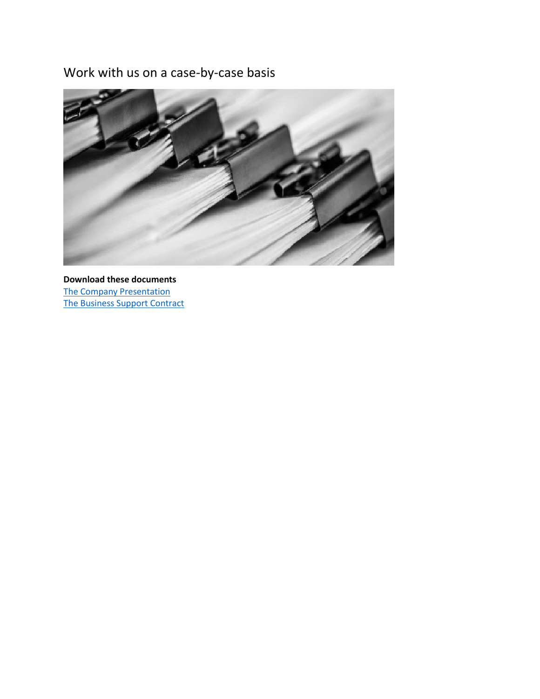## Work with us on a case-by-case basis



**Download these documents** [The Company Presentation](https://elitespv.com/wp-content/uploads/2022/04/1.0-SFS-Selective-Financial-Services-The-Company-Presentation.pdf) [The Business Support Contract](https://elitespv.com/wp-content/uploads/2022/01/BUSINESS-SUPPORT-CONTRACT-2022.docx)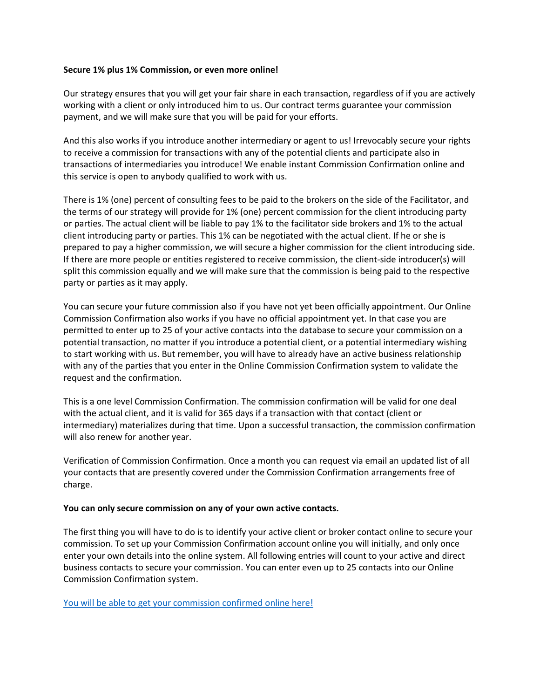## **Secure 1% plus 1% Commission, or even more online!**

Our strategy ensures that you will get your fair share in each transaction, regardless of if you are actively working with a client or only introduced him to us. Our contract terms guarantee your commission payment, and we will make sure that you will be paid for your efforts.

And this also works if you introduce another intermediary or agent to us! Irrevocably secure your rights to receive a commission for transactions with any of the potential clients and participate also in transactions of intermediaries you introduce! We enable instant Commission Confirmation online and this service is open to anybody qualified to work with us.

There is 1% (one) percent of consulting fees to be paid to the brokers on the side of the Facilitator, and the terms of our strategy will provide for 1% (one) percent commission for the client introducing party or parties. The actual client will be liable to pay 1% to the facilitator side brokers and 1% to the actual client introducing party or parties. This 1% can be negotiated with the actual client. If he or she is prepared to pay a higher commission, we will secure a higher commission for the client introducing side. If there are more people or entities registered to receive commission, the client-side introducer(s) will split this commission equally and we will make sure that the commission is being paid to the respective party or parties as it may apply.

You can secure your future commission also if you have not yet been officially appointment. Our Online Commission Confirmation also works if you have no official appointment yet. In that case you are permitted to enter up to 25 of your active contacts into the database to secure your commission on a potential transaction, no matter if you introduce a potential client, or a potential intermediary wishing to start working with us. But remember, you will have to already have an active business relationship with any of the parties that you enter in the Online Commission Confirmation system to validate the request and the confirmation.

This is a one level Commission Confirmation. The commission confirmation will be valid for one deal with the actual client, and it is valid for 365 days if a transaction with that contact (client or intermediary) materializes during that time. Upon a successful transaction, the commission confirmation will also renew for another year.

Verification of Commission Confirmation. Once a month you can request via email an updated list of all your contacts that are presently covered under the Commission Confirmation arrangements free of charge.

## **You can only secure commission on any of your own active contacts.**

The first thing you will have to do is to identify your active client or broker contact online to secure your commission. To set up your Commission Confirmation account online you will initially, and only once enter your own details into the online system. All following entries will count to your active and direct business contacts to secure your commission. You can enter even up to 25 contacts into our Online Commission Confirmation system.

[You will be able to get your commission confirmed online here!](https://elitespv.com/get-your-online-commission-confirmation-here/)